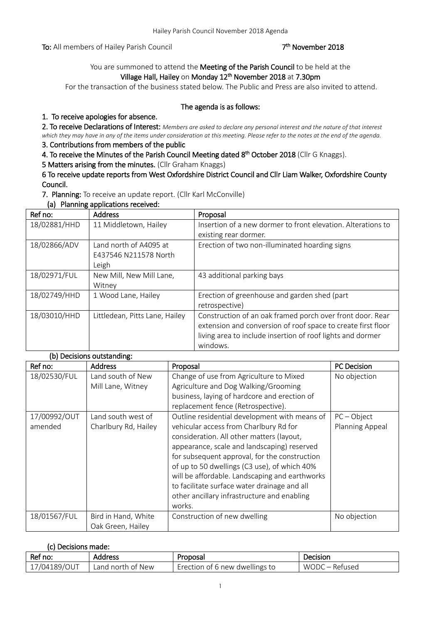To: All members of Hailey Parish Council

### <sup>th</sup> November 2018

## You are summoned to attend the Meeting of the Parish Council to be held at the Village Hall, Hailey on Monday 12<sup>th</sup> November 2018 at 7.30pm

For the transaction of the business stated below. The Public and Press are also invited to attend.

### The agenda is as follows:

## 1. To receive apologies for absence.

2. To receive Declarations of Interest: *Members are asked to declare any personal interest and the nature of that interest which they may have in any of the items under consideration at this meeting. Please refer to the notes at the end of the agenda.*

## 3. Contributions from members of the public

4. To receive the Minutes of the Parish Council Meeting dated 8<sup>th</sup> October 2018 (Cllr G Knaggs).

5 Matters arising from the minutes. (Cllr Graham Knaggs)

6 To receive update reports from West Oxfordshire District Council and Cllr Liam Walker, Oxfordshire County Council.

7. Planning: To receive an update report. (Cllr Karl McConville)

(a) Planning applications received:

| Ref no:      | <b>Address</b>                                           | Proposal                                                                                                                                                                                            |
|--------------|----------------------------------------------------------|-----------------------------------------------------------------------------------------------------------------------------------------------------------------------------------------------------|
| 18/02881/HHD | 11 Middletown, Hailey                                    | Insertion of a new dormer to front elevation. Alterations to<br>existing rear dormer.                                                                                                               |
| 18/02866/ADV | Land north of A4095 at<br>E437546 N211578 North<br>Leigh | Erection of two non-illuminated hoarding signs                                                                                                                                                      |
| 18/02971/FUL | New Mill, New Mill Lane,<br>Witney                       | 43 additional parking bays                                                                                                                                                                          |
| 18/02749/HHD | 1 Wood Lane, Hailey                                      | Erection of greenhouse and garden shed (part<br>retrospective)                                                                                                                                      |
| 18/03010/HHD | Littledean, Pitts Lane, Hailey                           | Construction of an oak framed porch over front door. Rear<br>extension and conversion of roof space to create first floor<br>living area to include insertion of roof lights and dormer<br>windows. |

### (b) Decisions outstanding:

| Ref no:                 | <b>Address</b>                             | Proposal                                                                                                                                                                                                                                                                                                                                                                                                                                        | <b>PC</b> Decision               |
|-------------------------|--------------------------------------------|-------------------------------------------------------------------------------------------------------------------------------------------------------------------------------------------------------------------------------------------------------------------------------------------------------------------------------------------------------------------------------------------------------------------------------------------------|----------------------------------|
| 18/02530/FUL            | Land south of New<br>Mill Lane, Witney     | Change of use from Agriculture to Mixed<br>Agriculture and Dog Walking/Grooming<br>business, laying of hardcore and erection of<br>replacement fence (Retrospective).                                                                                                                                                                                                                                                                           | No objection                     |
| 17/00992/OUT<br>amended | Land south west of<br>Charlbury Rd, Hailey | Outline residential development with means of<br>vehicular access from Charlbury Rd for<br>consideration. All other matters (layout,<br>appearance, scale and landscaping) reserved<br>for subsequent approval, for the construction<br>of up to 50 dwellings (C3 use), of which 40%<br>will be affordable. Landscaping and earthworks<br>to facilitate surface water drainage and all<br>other ancillary infrastructure and enabling<br>works. | $PC - Object$<br>Planning Appeal |
| 18/01567/FUL            | Bird in Hand, White<br>Oak Green, Hailey   | Construction of new dwelling                                                                                                                                                                                                                                                                                                                                                                                                                    | No objection                     |

### (c) Decisions made:

| Ref no:     | Address           | Proposal                       | Decision                    |
|-------------|-------------------|--------------------------------|-----------------------------|
| 7/04189/OUT | Land north of New | Erection of 6 new dwellings to | <b>WODC</b><br>Refused<br>- |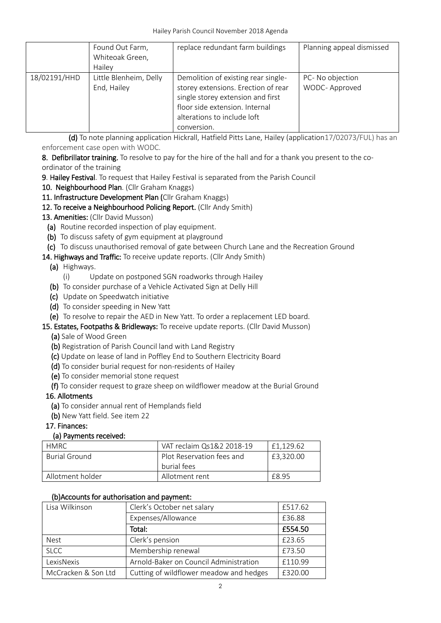|              | Found Out Farm,<br>Whiteoak Green,<br>Hailey | replace redundant farm buildings                                                                                                                                                                | Planning appeal dismissed          |
|--------------|----------------------------------------------|-------------------------------------------------------------------------------------------------------------------------------------------------------------------------------------------------|------------------------------------|
| 18/02191/HHD | Little Blenheim, Delly<br>End, Hailey        | Demolition of existing rear single-<br>storey extensions. Erection of rear<br>single storey extension and first<br>floor side extension. Internal<br>alterations to include loft<br>conversion. | PC- No objection<br>WODC- Approved |

 (d) To note planning application Hickrall, Hatfield Pitts Lane, Hailey (application17/02073/FUL) has an enforcement case open with WODC.

8. Defibrillator training. To resolve to pay for the hire of the hall and for a thank you present to the coordinator of the training

- 9. Hailey Festival. To request that Hailey Festival is separated from the Parish Council
- 10. Neighbourhood Plan. (Cllr Graham Knaggs)

## 11. Infrastructure Development Plan (Cllr Graham Knaggs)

12. To receive a Neighbourhood Policing Report. (Cllr Andy Smith)

## 13. Amenities: (Cllr David Musson)

- (a) Routine recorded inspection of play equipment.
- (b) To discuss safety of gym equipment at playground

## (c) To discuss unauthorised removal of gate between Church Lane and the Recreation Ground

14. Highways and Traffic: To receive update reports. (Cllr Andy Smith)

## (a) Highways.

- (i) Update on postponed SGN roadworks through Hailey
- (b) To consider purchase of a Vehicle Activated Sign at Delly Hill
- (c) Update on Speedwatch initiative
- (d) To consider speeding in New Yatt
- (e) To resolve to repair the AED in New Yatt. To order a replacement LED board.
- 15. Estates, Footpaths & Bridleways: To receive update reports. (Cllr David Musson)
	- (a) Sale of Wood Green
	- (b) Registration of Parish Council land with Land Registry
	- (c) Update on lease of land in Poffley End to Southern Electricity Board
	- (d) To consider burial request for non-residents of Hailey
	- (e) To consider memorial stone request
	- (f) To consider request to graze sheep on wildflower meadow at the Burial Ground

## 16. Allotments

- (a) To consider annual rent of Hemplands field
- (b) New Yatt field. See item 22

## 17. Finances:

## (a) Payments received:

| <b>HMRC</b>          | VAT reclaim Qs1&2 2018-19 | £1.129.62 |
|----------------------|---------------------------|-----------|
| <b>Burial Ground</b> | Plot Reservation fees and | £3,320,00 |
|                      | burial fees               |           |
| Allotment holder     | Allotment rent            | F8 95     |

## (b)Accounts for authorisation and payment:

| Lisa Wilkinson      | Clerk's October net salary              | £517.62 |
|---------------------|-----------------------------------------|---------|
|                     | Expenses/Allowance                      | £36.88  |
|                     | Total:                                  | £554.50 |
| <b>Nest</b>         | Clerk's pension                         | £23.65  |
| <b>SLCC</b>         | Membership renewal                      | £73.50  |
| LexisNexis          | Arnold-Baker on Council Administration  | £110.99 |
| McCracken & Son Ltd | Cutting of wildflower meadow and hedges | £320.00 |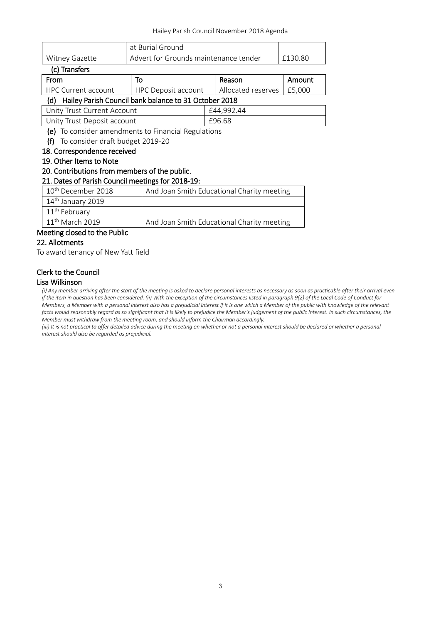|                              | at Burial Ground                      |         |
|------------------------------|---------------------------------------|---------|
| Witney Gazette               | Advert for Grounds maintenance tender | £130.80 |
| $\sim$ T <sub>ra</sub> nafam |                                       |         |

| (c) Transfers                                             |                            |                    |        |
|-----------------------------------------------------------|----------------------------|--------------------|--------|
| From                                                      | То                         | Reason             | Amount |
| <b>HPC Current account</b>                                | <b>HPC Deposit account</b> | Allocated reserves | E5.000 |
| (d) Hailey Parish Council bank balance to 31 October 2018 |                            |                    |        |
| Unity Trust Current Account                               |                            | £44.992.44         |        |
| Unity Trust Deposit account                               |                            | £96.68             |        |

(e) To consider amendments to Financial Regulations

(f) To consider draft budget 2019-20

### 18. Correspondence received

#### 19. Other Items to Note

#### 20. Contributions from members of the public.

### 21. Dates of Parish Council meetings for 2018-19:

| 10 <sup>th</sup> December 2018 | And Joan Smith Educational Charity meeting |  |
|--------------------------------|--------------------------------------------|--|
| 14 <sup>th</sup> January 2019  |                                            |  |
| 11 <sup>th</sup> February      |                                            |  |
| $11th$ March 2019              | And Joan Smith Educational Charity meeting |  |
| Meeting closed to the Public   |                                            |  |

## 22. Allotments

To award tenancy of New Yatt field

# Clerk to the Council

#### Lisa Wilkinson

*(i) Any member arriving after the start of the meeting is asked to declare personal interests as necessary as soon as practicable after their arrival even if the item in question has been considered. (ii) With the exception of the circumstances listed in paragraph 9(2) of the Local Code of Conduct for Members, a Member with a personal interest also has a prejudicial interest if it is one which a Member of the public with knowledge of the relevant facts would reasonably regard as so significant that it is likely to prejudice the Member's judgement of the public interest. In such circumstances, the Member must withdraw from the meeting room, and should inform the Chairman accordingly.*

*(iii)* It is not practical to offer detailed advice during the meeting on whether or not a personal interest should be declared or whether a personal *interest should also be regarded as prejudicial.*